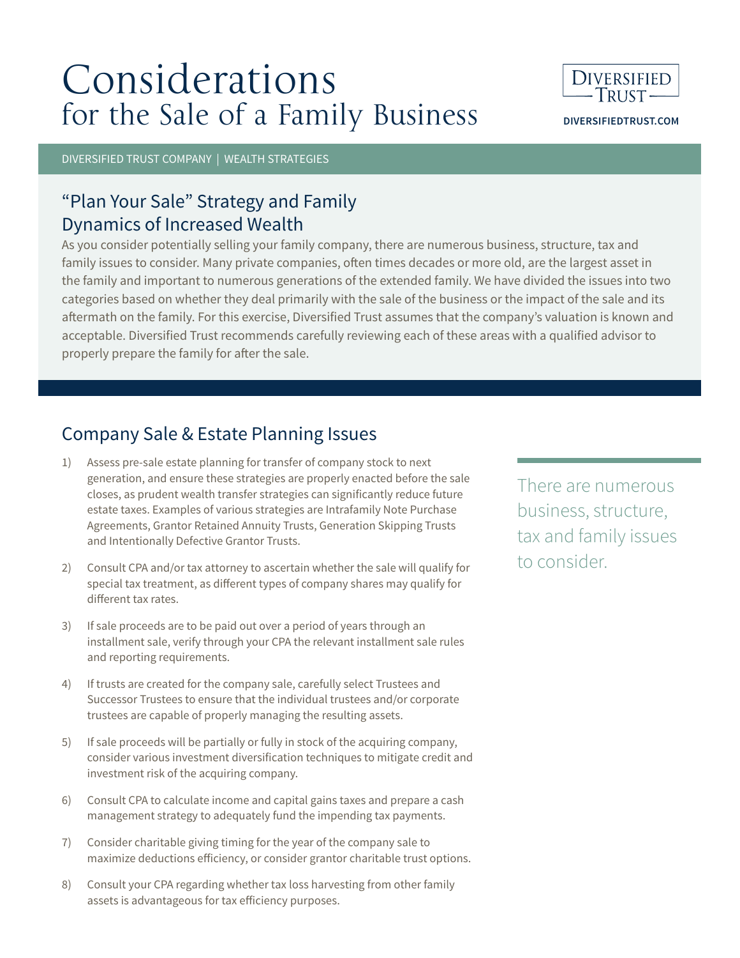# Considerations for the Sale of a Family Business



**DIVERSIFIEDTRUST.COM**

DIVERSIFIED TRUST COMPANY | WEALTH STRATEGIES

## "Plan Your Sale" Strategy and Family Dynamics of Increased Wealth

As you consider potentially selling your family company, there are numerous business, structure, tax and family issues to consider. Many private companies, often times decades or more old, are the largest asset in the family and important to numerous generations of the extended family. We have divided the issues into two categories based on whether they deal primarily with the sale of the business or the impact of the sale and its aftermath on the family. For this exercise, Diversified Trust assumes that the company's valuation is known and acceptable. Diversified Trust recommends carefully reviewing each of these areas with a qualified advisor to properly prepare the family for after the sale.

### Company Sale & Estate Planning Issues

- 1) Assess pre-sale estate planning for transfer of company stock to next generation, and ensure these strategies are properly enacted before the sale closes, as prudent wealth transfer strategies can significantly reduce future estate taxes. Examples of various strategies are Intrafamily Note Purchase Agreements, Grantor Retained Annuity Trusts, Generation Skipping Trusts and Intentionally Defective Grantor Trusts.
- 2) Consult CPA and/or tax attorney to ascertain whether the sale will qualify for special tax treatment, as different types of company shares may qualify for different tax rates.
- 3) If sale proceeds are to be paid out over a period of years through an installment sale, verify through your CPA the relevant installment sale rules and reporting requirements.
- 4) If trusts are created for the company sale, carefully select Trustees and Successor Trustees to ensure that the individual trustees and/or corporate trustees are capable of properly managing the resulting assets.
- 5) If sale proceeds will be partially or fully in stock of the acquiring company, consider various investment diversification techniques to mitigate credit and investment risk of the acquiring company.
- 6) Consult CPA to calculate income and capital gains taxes and prepare a cash management strategy to adequately fund the impending tax payments.
- 7) Consider charitable giving timing for the year of the company sale to maximize deductions efficiency, or consider grantor charitable trust options.
- 8) Consult your CPA regarding whether tax loss harvesting from other family assets is advantageous for tax efficiency purposes.

There are numerous business, structure, tax and family issues to consider.